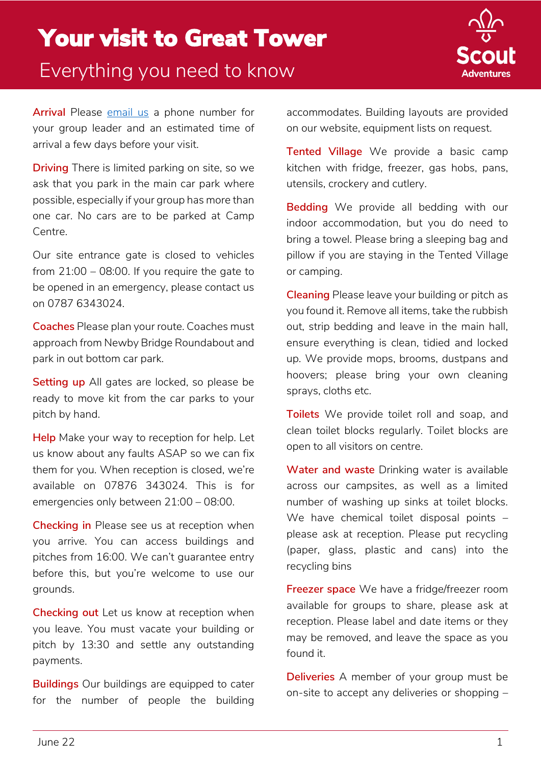## Your visit to Great Tower Everything you need to know



**Arrival** Please [email us](mailto:info@scoutadventures.org.uk) a phone number for your group leader and an estimated time of arrival a few days before your visit.

**Driving** There is limited parking on site, so we ask that you park in the main car park where possible, especially if your group has more than one car. No cars are to be parked at Camp Centre.

Our site entrance gate is closed to vehicles from  $21:00 - 08:00$ . If you require the gate to be opened in an emergency, please contact us on 0787 6343024.

**Coaches** Please plan your route. Coaches must approach from Newby Bridge Roundabout and park in out bottom car park.

**Setting up** All gates are locked, so please be ready to move kit from the car parks to your pitch by hand.

**Help** Make your way to reception for help. Let us know about any faults ASAP so we can fix them for you. When reception is closed, we're available on 07876 343024. This is for emergencies only between 21:00 – 08:00.

**Checking in** Please see us at reception when you arrive. You can access buildings and pitches from 16:00. We can't guarantee entry before this, but you're welcome to use our grounds.

**Checking out** Let us know at reception when you leave. You must vacate your building or pitch by 13:30 and settle any outstanding payments.

**Buildings** Our buildings are equipped to cater for the number of people the building

accommodates. Building layouts are provided on our website, equipment lists on request.

**Tented Village** We provide a basic camp kitchen with fridge, freezer, gas hobs, pans, utensils, crockery and cutlery.

**Bedding** We provide all bedding with our indoor accommodation, but you do need to bring a towel. Please bring a sleeping bag and pillow if you are staying in the Tented Village or camping.

**Cleaning** Please leave your building or pitch as you found it. Remove all items, take the rubbish out, strip bedding and leave in the main hall, ensure everything is clean, tidied and locked up. We provide mops, brooms, dustpans and hoovers; please bring your own cleaning sprays, cloths etc.

**Toilets** We provide toilet roll and soap, and clean toilet blocks regularly. Toilet blocks are open to all visitors on centre.

**Water and waste** Drinking water is available across our campsites, as well as a limited number of washing up sinks at toilet blocks. We have chemical toilet disposal points please ask at reception. Please put recycling (paper, glass, plastic and cans) into the recycling bins

**Freezer space** We have a fridge/freezer room available for groups to share, please ask at reception. Please label and date items or they may be removed, and leave the space as you found it.

**Deliveries** A member of your group must be on-site to accept any deliveries or shopping –